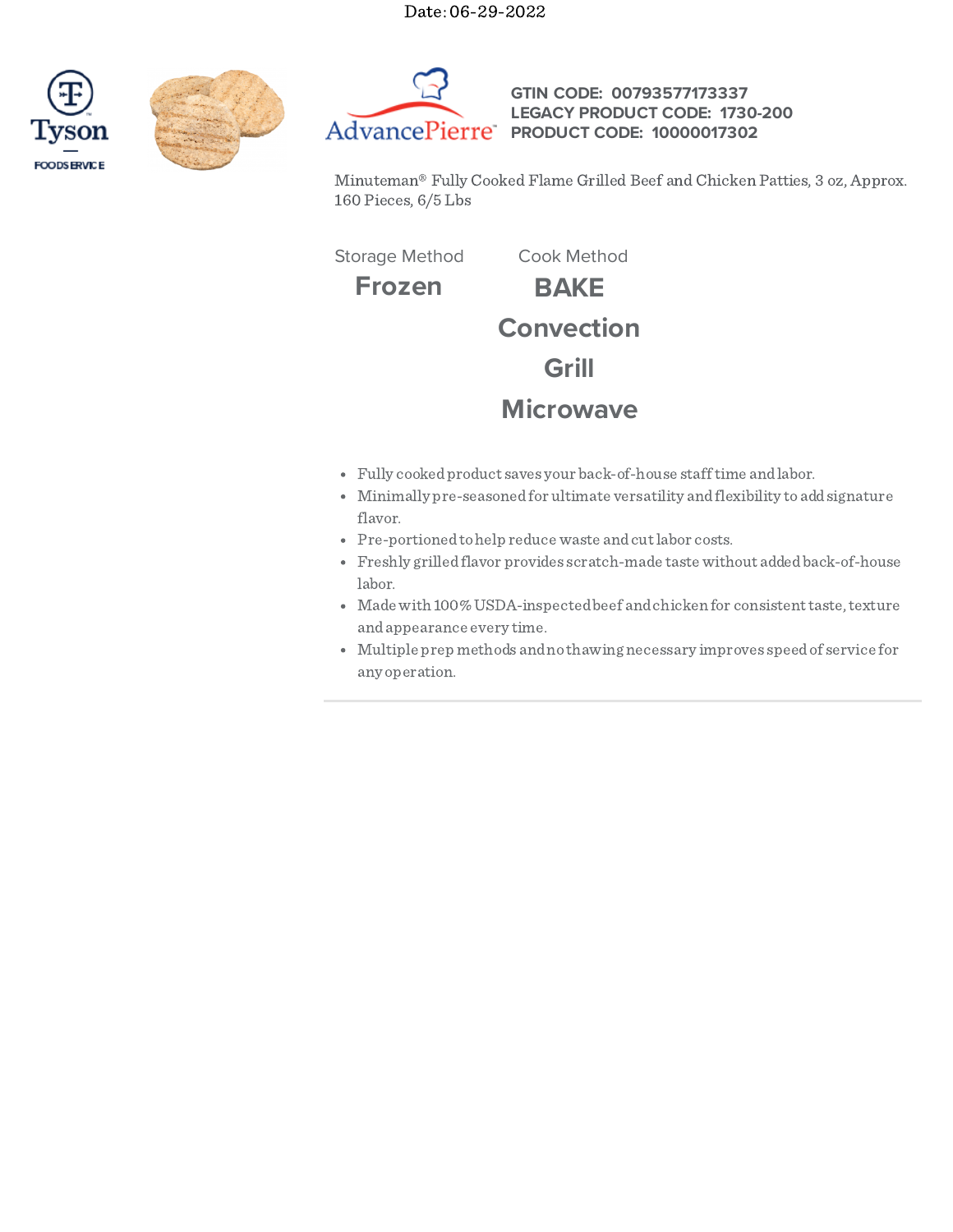





**GTIN CODE: 00793577173337 LEGACY PRODUCT CODE: 1730-200 PRODUCT CODE: 10000017302**

Minuteman® Fully Cooked Flame Grilled Beef and Chicken Patties, 3 oz, Approx. 160 Pieces, 6/5 Lbs

Storage Method Cook Method

**Frozen BAKE Convection Grill Microwave**

- Fully cookedproduct saves your back-of-house stafftime andlabor.
- Minimally pre-seasonedfor ultimate versatility andflexibility to addsignature flavor.
- Pre-portioned to help reduce waste and cut labor costs.
- Freshly grilledflavor provides scratch-made taste without addedback-of-house labor.
- Made with 100% USDA-inspected beef and chicken for consistent taste, texture andappearance every time.
- Multiple prep methods andno thawing necessary improves speedof service for any operation.